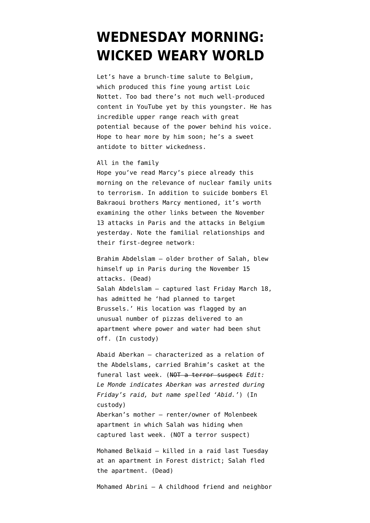## **[WEDNESDAY MORNING:](https://www.emptywheel.net/2016/03/23/wednesday-morning-wicked-weary-world/) [WICKED WEARY WORLD](https://www.emptywheel.net/2016/03/23/wednesday-morning-wicked-weary-world/)**

Let's have a brunch-time salute to Belgium, which produced this fine young artist Loic Nottet. Too bad there's not much well-produced content in YouTube yet by this youngster. He has incredible upper range reach with great potential because of the power behind his voice. Hope to hear more by him soon; he's a sweet antidote to bitter wickedness.

## All in the family

Hope you've read Marcy's piece already this morning on the [relevance of nuclear family units](https://www.emptywheel.net/2016/03/23/how-to-protect-against-terrorism-eliminate-the-nuclear-family/) [to terrorism](https://www.emptywheel.net/2016/03/23/how-to-protect-against-terrorism-eliminate-the-nuclear-family/). In addition to suicide bombers El Bakraoui brothers Marcy mentioned, it's worth examining the other links between the November 13 attacks in Paris and the attacks in Belgium yesterday. Note the familial relationships and their first-degree network:

Brahim Abdelslam — older brother of Salah, blew himself up in Paris during the November 15 attacks. (Dead) Salah Abdelslam — captured last Friday March 18, has admitted he 'had planned to target Brussels.' His location was flagged by an unusual number of pizzas delivered to an apartment where power and water had been shut off. (In custody)

Abaid Aberkan — characterized as a relation of the Abdelslams, carried Brahim's casket at the funeral last week. (NOT a terror suspect *Edit: Le Monde indicates [Aberkan was arrested](http://www.lemonde.fr/les-decodeurs/article/2016/03/23/du-13-novembre-aux-attentats-de-mardi-quatre-mois-de-traque-a-bruxelles-en-9-cartes_4888751_4355770.html) during Friday's raid, but name spelled 'Abid.'*) (In custody) Aberkan's mother — renter/owner of Molenbeek apartment in which Salah was hiding when captured last week. (NOT a terror suspect)

Mohamed Belkaid — killed in a raid last Tuesday at an apartment in Forest district; Salah fled the apartment. (Dead)

Mohamed Abrini — A childhood friend and neighbor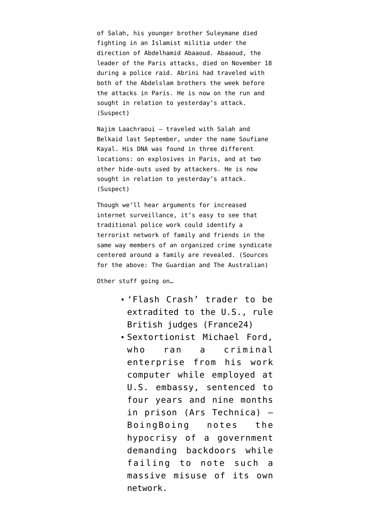of Salah, his younger brother Suleymane died fighting in an Islamist militia under the direction of Abdelhamid Abaaoud. Abaaoud, the leader of the Paris attacks, died on November 18 during a police raid. Abrini had traveled with both of the Abdelslam brothers the week before the attacks in Paris. He is now on the run and sought in relation to yesterday's attack. (Suspect)

Najim Laachraoui — traveled with Salah and Belkaid last September, under the name Soufiane Kayal. His DNA was found in three different locations: on explosives in Paris, and at two other hide-outs used by attackers. He is now sought in relation to yesterday's attack. (Suspect)

Though we'll hear arguments for increased internet surveillance, it's easy to see that traditional police work could identify a terrorist network of family and friends in the same way members of an organized crime syndicate centered around a family are revealed. (Sources for the above: [The Guardian](http://www.theguardian.com/world/2016/mar/20/paris-attacks-manhunt-two-suspects-still-at-large) and [The Australian\)](http://www.theaustralian.com.au/news/world/funeral-of-brother-led-police-to-abdeslams-hideout/news-story/2d09ae8a658115c012dc540ca3e94b75)

Other stuff going on…

- 'Flash Crash' trader to be [extradited to the U.S.](http://www.france24.com/en/20160323-british-judge-rules-extradite-flash-crash-trader-us), rule British judges (France24)
- Sextortionist Michael Ford, who ran a criminal enterprise from his work computer while employed at U.S. embassy, [sentenced to](http://arstechnica.com/tech-policy/2016/03/former-us-embassy-staffer-sentenced-to-nearly-five-years-for-sextortion/) [four years and nine months](http://arstechnica.com/tech-policy/2016/03/former-us-embassy-staffer-sentenced-to-nearly-five-years-for-sextortion/) [in prison](http://arstechnica.com/tech-policy/2016/03/former-us-embassy-staffer-sentenced-to-nearly-five-years-for-sextortion/) (Ars Technica) — BoingBoing [notes the](https://boingboing.net/2016/03/22/us-embassy-staffer-ran-a-sexto.html) [hypocrisy](https://boingboing.net/2016/03/22/us-embassy-staffer-ran-a-sexto.html) of a government demanding backdoors while failing to note such a massive misuse of its own network.